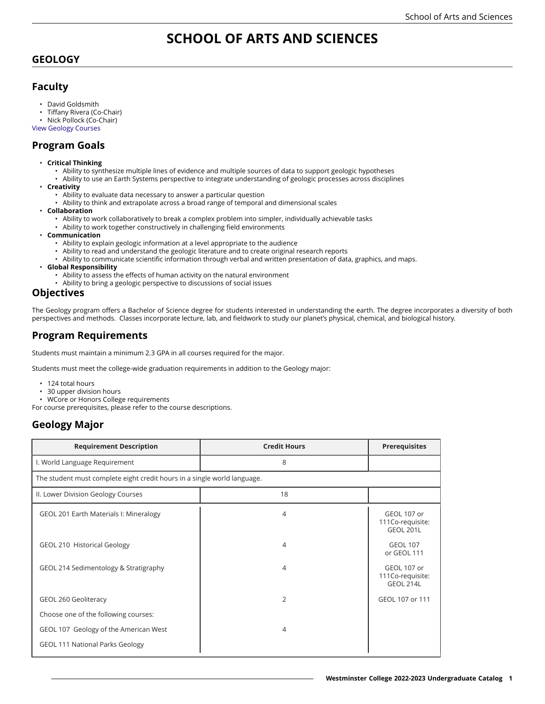# **SCHOOL OF ARTS AND SCIENCES**

### **GEOLOGY**

### **Faculty**

- David Goldsmith
- Tiffany Rivera (Co-Chair)
- Nick Pollock (Co-Chair)

View [Geology](https://catalog.westminstercollege.edu/current/undergraduate/courses/geol.html) Courses

# **Program Goals**

- **Critical Thinking**
	- Ability to synthesize multiple lines of evidence and multiple sources of data to support geologic hypotheses
	- Ability to use an Earth Systems perspective to integrate understanding of geologic processes across disciplines
	- **Creativity**
		- Ability to evaluate data necessary to answer a particular question
		- Ability to think and extrapolate across a broad range of temporal and dimensional scales
- **Collaboration**
	- Ability to work collaboratively to break a complex problem into simpler, individually achievable tasks
	- Ability to work together constructively in challenging field environments
- **Communication**
	- Ability to explain geologic information at a level appropriate to the audience
	- Ability to read and understand the geologic literature and to create original research reports
	- Ability to communicate scientific information through verbal and written presentation of data, graphics, and maps.
- **Global Responsibility**
	- Ability to assess the effects of human activity on the natural environment
	- Ability to bring a geologic perspective to discussions of social issues

#### **Objectives**

The Geology program offers a Bachelor of Science degree for students interested in understanding the earth. The degree incorporates a diversity of both perspectives and methods. Classes incorporate lecture, lab, and fieldwork to study our planet's physical, chemical, and biological history.

## **Program Requirements**

Students must maintain a minimum 2.3 GPA in all courses required for the major.

Students must meet the college-wide graduation requirements in addition to the Geology major:

- 124 total hours
- 30 upper division hours
- WCore or Honors College requirements
- For course prerequisites, please refer to the course descriptions.

## **Geology Major**

| <b>Requirement Description</b>                                           | <b>Credit Hours</b> | <b>Prerequisites</b>                                |  |
|--------------------------------------------------------------------------|---------------------|-----------------------------------------------------|--|
| I. World Language Requirement                                            | 8                   |                                                     |  |
| The student must complete eight credit hours in a single world language. |                     |                                                     |  |
| II. Lower Division Geology Courses                                       | 18                  |                                                     |  |
| GEOL 201 Earth Materials I: Mineralogy                                   | 4                   | GEOL 107 or<br>111Co-requisite:<br><b>GEOL 201L</b> |  |
| <b>GEOL 210 Historical Geology</b>                                       | 4                   | <b>GEOL 107</b><br>or GEOL 111                      |  |
| GEOL 214 Sedimentology & Stratigraphy                                    | 4                   | GEOL 107 or<br>111Co-requisite:<br>GEOL 214L        |  |
| GEOL 260 Geoliteracy                                                     | 2                   | GEOL 107 or 111                                     |  |
| Choose one of the following courses:                                     |                     |                                                     |  |
| GEOL 107 Geology of the American West                                    | 4                   |                                                     |  |
| <b>GEOL 111 National Parks Geology</b>                                   |                     |                                                     |  |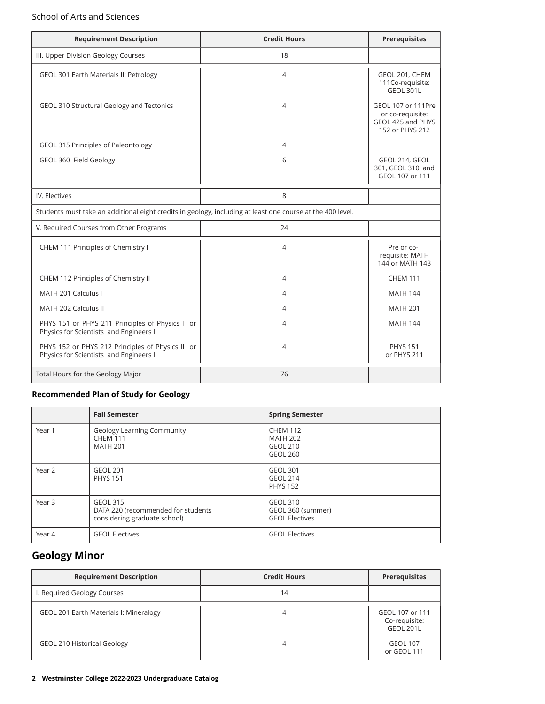#### School of Arts and Sciences

| <b>Requirement Description</b>                                                                             | <b>Credit Hours</b> | <b>Prerequisites</b>                                                           |
|------------------------------------------------------------------------------------------------------------|---------------------|--------------------------------------------------------------------------------|
| III. Upper Division Geology Courses                                                                        | 18                  |                                                                                |
| GEOL 301 Earth Materials II: Petrology                                                                     | 4                   | GEOL 201, CHEM<br>111Co-requisite:<br><b>GEOL 301L</b>                         |
| GEOL 310 Structural Geology and Tectonics                                                                  | 4                   | GEOL 107 or 111Pre<br>or co-requisite:<br>GEOL 425 and PHYS<br>152 or PHYS 212 |
| GEOL 315 Principles of Paleontology                                                                        | 4                   |                                                                                |
| GEOL 360 Field Geology                                                                                     | 6                   | GEOL 214, GEOL<br>301, GEOL 310, and<br>GEOL 107 or 111                        |
| IV. Electives                                                                                              | 8                   |                                                                                |
| Students must take an additional eight credits in geology, including at least one course at the 400 level. |                     |                                                                                |
| V. Required Courses from Other Programs                                                                    | 24                  |                                                                                |
| CHEM 111 Principles of Chemistry I                                                                         | $\overline{4}$      | Pre or co-<br>requisite: MATH<br>144 or MATH 143                               |
| CHEM 112 Principles of Chemistry II                                                                        | 4                   | <b>CHEM 111</b>                                                                |
| MATH 201 Calculus I                                                                                        | 4                   | <b>MATH 144</b>                                                                |
| MATH 202 Calculus II                                                                                       | 4                   | <b>MATH 201</b>                                                                |
| PHYS 151 or PHYS 211 Principles of Physics I or<br>Physics for Scientists and Engineers I                  | 4                   | <b>MATH 144</b>                                                                |
| PHYS 152 or PHYS 212 Principles of Physics II or<br>Physics for Scientists and Engineers II                | $\overline{4}$      | <b>PHYS 151</b><br>or PHYS 211                                                 |
| Total Hours for the Geology Major                                                                          | 76                  |                                                                                |

#### **Recommended Plan of Study for Geology**

|        | <b>Fall Semester</b>                                                                  | <b>Spring Semester</b>                                                   |
|--------|---------------------------------------------------------------------------------------|--------------------------------------------------------------------------|
| Year 1 | <b>Geology Learning Community</b><br><b>CHEM 111</b><br><b>MATH 201</b>               | <b>CHEM 112</b><br><b>MATH 202</b><br><b>GEOL 210</b><br><b>GEOL 260</b> |
| Year 2 | <b>GEOL 201</b><br><b>PHYS 151</b>                                                    | <b>GEOL 301</b><br><b>GEOL 214</b><br><b>PHYS 152</b>                    |
| Year 3 | <b>GEOL 315</b><br>DATA 220 (recommended for students<br>considering graduate school) | GEOL 310<br>GEOL 360 (summer)<br><b>GEOL Electives</b>                   |
| Year 4 | <b>GEOL Electives</b>                                                                 | <b>GEOL Electives</b>                                                    |

# **Geology Minor**

| <b>Requirement Description</b>         | <b>Credit Hours</b> | <b>Prerequisites</b>                                 |
|----------------------------------------|---------------------|------------------------------------------------------|
| I. Required Geology Courses            | 14                  |                                                      |
| GEOL 201 Earth Materials I: Mineralogy |                     | GEOL 107 or 111<br>Co-requisite:<br><b>GEOL 201L</b> |
| <b>GEOL 210 Historical Geology</b>     |                     | <b>GEOL 107</b><br>or GEOL 111                       |